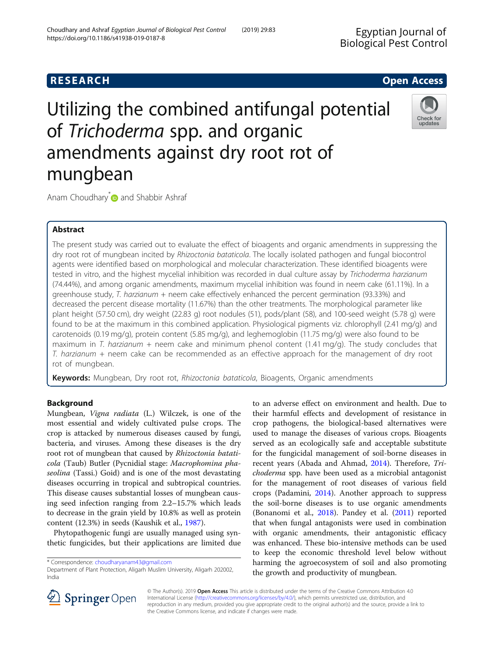Choudhary and Ashraf Egyptian Journal of Biological Pest Control (2019) 29:83

Ingiral Pest Control  $\mathbf{C}$ 

# **RESEARCH CHE Open Access**

# Utilizing the combined antifungal potential of Trichoderma spp. and organic amendments against dry root rot of mungbean



Anam Choudhary<sup>\*</sup> and Shabbir Ashraf

# Abstract

The present study was carried out to evaluate the effect of bioagents and organic amendments in suppressing the dry root rot of mungbean incited by Rhizoctonia bataticola. The locally isolated pathogen and fungal biocontrol agents were identified based on morphological and molecular characterization. These identified bioagents were tested in vitro, and the highest mycelial inhibition was recorded in dual culture assay by Trichoderma harzianum (74.44%), and among organic amendments, maximum mycelial inhibition was found in neem cake (61.11%). In a greenhouse study, T. harzianum + neem cake effectively enhanced the percent germination (93.33%) and decreased the percent disease mortality (11.67%) than the other treatments. The morphological parameter like plant height (57.50 cm), dry weight (22.83 g) root nodules (51), pods/plant (58), and 100-seed weight (5.78 g) were found to be at the maximum in this combined application. Physiological pigments viz. chlorophyll (2.41 mg/g) and carotenoids (0.19 mg/g), protein content (5.85 mg/g), and leghemoglobin (11.75 mg/g) were also found to be maximum in T. harzianum + neem cake and minimum phenol content (1.41 mg/g). The study concludes that T. harzianum + neem cake can be recommended as an effective approach for the management of dry root rot of mungbean.

Keywords: Mungbean, Dry root rot, Rhizoctonia bataticola, Bioagents, Organic amendments

# Background

Mungbean, Vigna radiata (L.) Wilczek, is one of the most essential and widely cultivated pulse crops. The crop is attacked by numerous diseases caused by fungi, bacteria, and viruses. Among these diseases is the dry root rot of mungbean that caused by Rhizoctonia bataticola (Taub) Butler (Pycnidial stage: Macrophomina phaseolina (Tassi.) Goid) and is one of the most devastating diseases occurring in tropical and subtropical countries. This disease causes substantial losses of mungbean causing seed infection ranging from 2.2–15.7% which leads to decrease in the grain yield by 10.8% as well as protein content (12.3%) in seeds (Kaushik et al., [1987](#page-7-0)).

Phytopathogenic fungi are usually managed using synthetic fungicides, but their applications are limited due

\* Correspondence: [choudharyanam43@gmail.com](mailto:choudharyanam43@gmail.com)

to an adverse effect on environment and health. Due to their harmful effects and development of resistance in crop pathogens, the biological-based alternatives were used to manage the diseases of various crops. Bioagents served as an ecologically safe and acceptable substitute for the fungicidal management of soil-borne diseases in recent years (Abada and Ahmad, [2014\)](#page-6-0). Therefore, Trichoderma spp. have been used as a microbial antagonist for the management of root diseases of various field crops (Padamini, [2014](#page-7-0)). Another approach to suppress the soil-borne diseases is to use organic amendments (Bonanomi et al., [2018\)](#page-6-0). Pandey et al. [\(2011\)](#page-7-0) reported that when fungal antagonists were used in combination with organic amendments, their antagonistic efficacy was enhanced. These bio-intensive methods can be used to keep the economic threshold level below without harming the agroecosystem of soil and also promoting the growth and productivity of mungbean.



© The Author(s). 2019 Open Access This article is distributed under the terms of the Creative Commons Attribution 4.0 International License ([http://creativecommons.org/licenses/by/4.0/\)](http://creativecommons.org/licenses/by/4.0/), which permits unrestricted use, distribution, and reproduction in any medium, provided you give appropriate credit to the original author(s) and the source, provide a link to the Creative Commons license, and indicate if changes were made.

Department of Plant Protection, Aligarh Muslim University, Aligarh 202002, India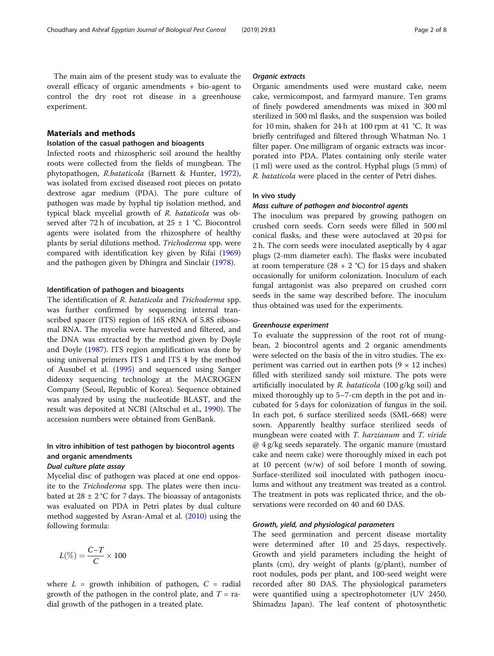The main aim of the present study was to evaluate the overall efficacy of organic amendments + bio-agent to control the dry root rot disease in a greenhouse experiment.

#### Materials and methods

#### Isolation of the casual pathogen and bioagents

Infected roots and rhizospheric soil around the healthy roots were collected from the fields of mungbean. The phytopathogen, R.bataticola (Barnett & Hunter, [1972](#page-6-0)), was isolated from excised diseased root pieces on potato dextrose agar medium (PDA). The pure culture of pathogen was made by hyphal tip isolation method, and typical black mycelial growth of R. bataticola was observed after 72 h of incubation, at  $25 \pm 1$  °C. Biocontrol agents were isolated from the rhizosphere of healthy plants by serial dilutions method. Trichoderma spp. were compared with identification key given by Rifai ([1969](#page-7-0)) and the pathogen given by Dhingra and Sinclair ([1978\)](#page-7-0).

#### Identification of pathogen and bioagents

The identification of R. bataticola and Trichoderma spp. was further confirmed by sequencing internal transcribed spacer (ITS) region of 16S rRNA of 5.8S ribosomal RNA. The mycelia were harvested and filtered, and the DNA was extracted by the method given by Doyle and Doyle ([1987](#page-7-0)). ITS region amplification was done by using universal primers ITS 1 and ITS 4 by the method of Ausubel et al. [\(1995](#page-6-0)) and sequenced using Sanger dideoxy sequencing technology at the MACROGEN Company (Seoul, Republic of Korea). Sequence obtained was analyzed by using the nucleotide BLAST, and the result was deposited at NCBI (Altschul et al., [1990\)](#page-6-0). The accession numbers were obtained from GenBank.

# In vitro inhibition of test pathogen by biocontrol agents and organic amendments

#### Dual culture plate assay

Mycelial disc of pathogen was placed at one end opposite to the Trichoderma spp. The plates were then incubated at  $28 \pm 2$  °C for 7 days. The bioassay of antagonists was evaluated on PDA in Petri plates by dual culture method suggested by Asran-Amal et al. [\(2010](#page-6-0)) using the following formula:

$$
L(\%) = \frac{C - T}{C} \times 100
$$

where  $L =$  growth inhibition of pathogen,  $C =$  radial growth of the pathogen in the control plate, and  $T = ra$ dial growth of the pathogen in a treated plate.

#### Organic extracts

Organic amendments used were mustard cake, neem cake, vermicompost, and farmyard manure. Ten grams of finely powdered amendments was mixed in 300 ml sterilized in 500 ml flasks, and the suspension was boiled for 10 min, shaken for 24 h at 100 rpm at 41 °C. It was briefly centrifuged and filtered through Whatman No. 1 filter paper. One milligram of organic extracts was incorporated into PDA. Plates containing only sterile water (1 ml) were used as the control. Hyphal plugs (5 mm) of R. bataticola were placed in the center of Petri dishes.

#### In vivo study

#### Mass culture of pathogen and biocontrol agents

The inoculum was prepared by growing pathogen on crushed corn seeds. Corn seeds were filled in 500 ml conical flasks, and these were autoclaved at 20 psi for 2 h. The corn seeds were inoculated aseptically by 4 agar plugs (2-mm diameter each). The flasks were incubated at room temperature  $(28 + 2 \degree C)$  for 15 days and shaken occasionally for uniform colonization. Inoculum of each fungal antagonist was also prepared on crushed corn seeds in the same way described before. The inoculum thus obtained was used for the experiments.

#### Greenhouse experiment

To evaluate the suppression of the root rot of mungbean, 2 biocontrol agents and 2 organic amendments were selected on the basis of the in vitro studies. The experiment was carried out in earthen pots  $(9 \times 12)$  inches) filled with sterilized sandy soil mixture. The pots were artificially inoculated by R. bataticola  $(100 \text{ g/kg soil})$  and mixed thoroughly up to 5–7-cm depth in the pot and incubated for 5 days for colonization of fungus in the soil. In each pot, 6 surface sterilized seeds (SML-668) were sown. Apparently healthy surface sterilized seeds of mungbean were coated with T. harzianum and T. viride @ 4 g/kg seeds separately. The organic manure (mustard cake and neem cake) were thoroughly mixed in each pot at 10 percent (w/w) of soil before 1 month of sowing. Surface-sterilized soil inoculated with pathogen inoculums and without any treatment was treated as a control. The treatment in pots was replicated thrice, and the observations were recorded on 40 and 60 DAS.

### Growth, yield, and physiological parameters

The seed germination and percent disease mortality were determined after 10 and 25 days, respectively. Growth and yield parameters including the height of plants (cm), dry weight of plants (g/plant), number of root nodules, pods per plant, and 100-seed weight were recorded after 80 DAS. The physiological parameters were quantified using a spectrophotometer (UV 2450, Shimadzu Japan). The leaf content of photosynthetic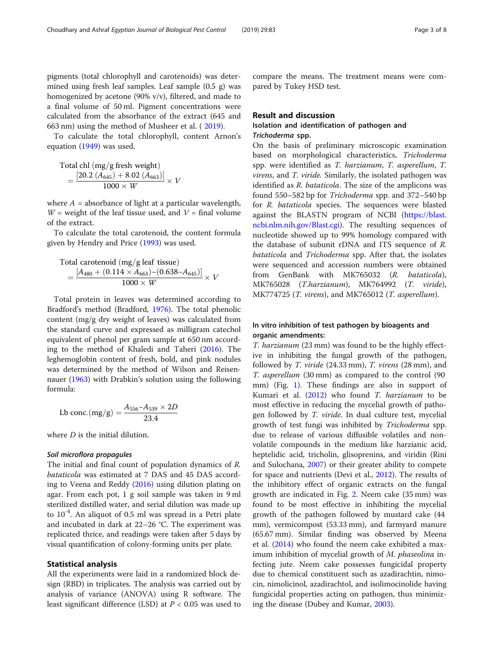pigments (total chlorophyll and carotenoids) was determined using fresh leaf samples. Leaf sample (0.5 g) was homogenized by acetone (90% v/v), filtered, and made to a final volume of 50 ml. Pigment concentrations were calculated from the absorbance of the extract (645 and 663 nm) using the method of Musheer et al. ( [2019](#page-7-0)).

To calculate the total chlorophyll, content Arnon's equation [\(1949](#page-6-0)) was used.

Total chl (mg/g fresh weight)  
= 
$$
\frac{[20.2 (A_{645}) + 8.02 (A_{663})]}{1000 \times W} \times V
$$

where  $A =$  absorbance of light at a particular wavelength,  $W$  = weight of the leaf tissue used, and  $V$  = final volume of the extract.

To calculate the total carotenoid, the content formula given by Hendry and Price ([1993\)](#page-7-0) was used.

Total carotenoid (mg/g leaf tissue)  
= 
$$
\frac{[A_{480} + (0.114 \times A_{663}) - (0.638 - A_{645})]}{1000 \times W} \times V
$$

Total protein in leaves was determined according to Bradford's method (Bradford, [1976](#page-6-0)). The total phenolic content (mg/g dry weight of leaves) was calculated from the standard curve and expressed as milligram catechol equivalent of phenol per gram sample at 650 nm according to the method of Khaledi and Taheri ([2016](#page-7-0)). The leghemoglobin content of fresh, bold, and pink nodules was determined by the method of Wilson and Reisennauer [\(1963\)](#page-7-0) with Drabkin's solution using the following formula:

$$
Lb \text{ conc.} (\text{mg/g}) = \frac{A_{556} - A_{539} \times 2D}{23.4}
$$

where *D* is the initial dilution.

#### Soil microflora propagules

The initial and final count of population dynamics of R. bataticola was estimated at 7 DAS and 45 DAS according to Veena and Reddy ([2016](#page-7-0)) using dilution plating on agar. From each pot, 1 g soil sample was taken in 9 ml sterilized distilled water, and serial dilution was made up to  $10^{-4}$ . An aliquot of 0.5 ml was spread in a Petri plate and incubated in dark at 22–26 °C. The experiment was replicated thrice, and readings were taken after 5 days by visual quantification of colony-forming units per plate.

#### Statistical analysis

All the experiments were laid in a randomized block design (RBD) in triplicates. The analysis was carried out by analysis of variance (ANOVA) using R software. The least significant difference (LSD) at  $P < 0.05$  was used to

compare the means. The treatment means were compared by Tukey HSD test.

#### Result and discussion

# Isolation and identification of pathogen and Trichoderma spp.

On the basis of preliminary microscopic examination based on morphological characteristics, Trichoderma spp. were identified as T. harzianum, T. asperellum, T. virens, and T. viride. Similarly, the isolated pathogen was identified as R. bataticola. The size of the amplicons was found 550–582 bp for Trichoderma spp. and 372–540 bp for R. bataticola species. The sequences were blasted against the BLASTN program of NCBI [\(https://blast.](https://blast.ncbi.nlm.nih.gov/Blast.cgi) [ncbi.nlm.nih.gov/Blast.cgi\)](https://blast.ncbi.nlm.nih.gov/Blast.cgi). The resulting sequences of nucleotide showed up to 99% homology compared with the database of subunit rDNA and ITS sequence of R. bataticola and Trichoderma spp. After that, the isolates were sequenced and accession numbers were obtained from GenBank with MK765032 (R. bataticola), MK765028 (T.harzianum), MK764992 (T. viride), MK774725 (T. virens), and MK765012 (T. asperellum).

### In vitro inhibition of test pathogen by bioagents and organic amendments:

T. harzianum (23 mm) was found to be the highly effective in inhibiting the fungal growth of the pathogen, followed by T. viride (24.33 mm), T. virens (28 mm), and T. asperellum (30 mm) as compared to the control (90 mm) (Fig. [1\)](#page-3-0). These findings are also in support of Kumari et al. [\(2012\)](#page-7-0) who found T. harzianum to be most effective in reducing the mycelial growth of pathogen followed by T. viride. In dual culture test, mycelial growth of test fungi was inhibited by Trichoderma spp. due to release of various diffusible volatiles and nonvolatile compounds in the medium like harzianic acid, heptelidic acid, tricholin, glisoprenins, and viridin (Rini and Sulochana, [2007](#page-7-0)) or their greater ability to compete for space and nutrients (Devi et al., [2012\)](#page-6-0). The results of the inhibitory effect of organic extracts on the fungal growth are indicated in Fig. [2](#page-3-0). Neem cake (35 mm) was found to be most effective in inhibiting the mycelial growth of the pathogen followed by mustard cake (44 mm), vermicompost (53.33 mm), and farmyard manure (65.67 mm). Similar finding was observed by Meena et al. [\(2014\)](#page-7-0) who found the neem cake exhibited a maximum inhibition of mycelial growth of M. phaseolina infecting jute. Neem cake possesses fungicidal property due to chemical constituent such as azadirachtin, nimocin, nimolicinol, azadirachtol, and isolimocinolide having fungicidal properties acting on pathogen, thus minimizing the disease (Dubey and Kumar, [2003\)](#page-7-0).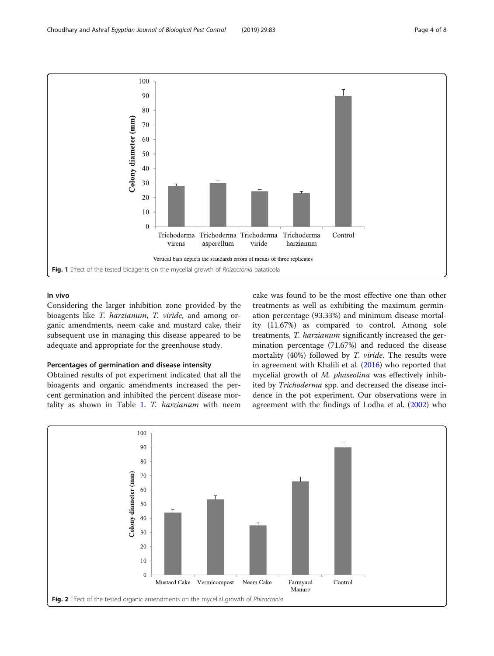<span id="page-3-0"></span>

#### In vivo

Considering the larger inhibition zone provided by the bioagents like T. harzianum, T. viride, and among organic amendments, neem cake and mustard cake, their subsequent use in managing this disease appeared to be adequate and appropriate for the greenhouse study.

#### Percentages of germination and disease intensity

Obtained results of pot experiment indicated that all the bioagents and organic amendments increased the percent germination and inhibited the percent disease mor-tality as shown in Table [1.](#page-4-0) T. harzianum with neem cake was found to be the most effective one than other treatments as well as exhibiting the maximum germination percentage (93.33%) and minimum disease mortality (11.67%) as compared to control. Among sole treatments, T. harzianum significantly increased the germination percentage (71.67%) and reduced the disease mortality (40%) followed by T. viride. The results were in agreement with Khalili et al. [\(2016\)](#page-7-0) who reported that mycelial growth of M. phaseolina was effectively inhibited by Trichoderma spp. and decreased the disease incidence in the pot experiment. Our observations were in agreement with the findings of Lodha et al. ([2002](#page-7-0)) who

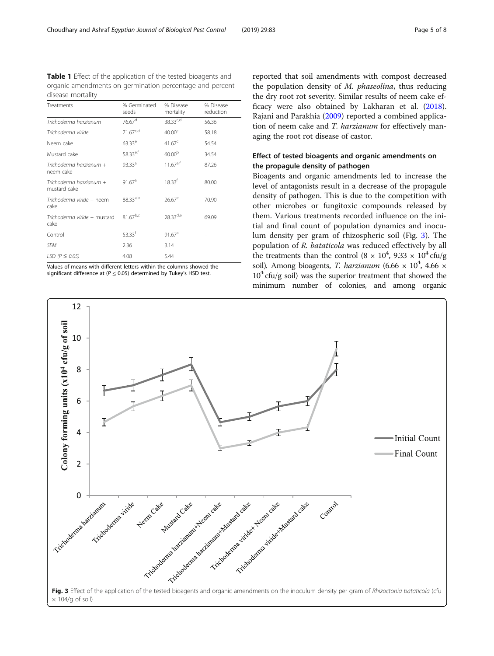<span id="page-4-0"></span>Table 1 Effect of the application of the tested bioagents and organic amendments on germination percentage and percent disease mortality

| Treatments                              | % Germinated<br>seeds | % Disease<br>mortality | % Disease<br>reduction |
|-----------------------------------------|-----------------------|------------------------|------------------------|
| Trichoderma harzianum                   | $76.67$ <sup>d</sup>  | 38.33 <sup>c,d</sup>   | 56.36                  |
| Trichoderma viride                      | $71.67^{c,d}$         | 40.00 <sup>c</sup>     | 58.18                  |
| Neem cake                               | $63.33^e$             | $41.67^{\circ}$        | 54.54                  |
| Mustard cake                            | $58.33^{e,f}$         | 60.00 <sup>b</sup>     | 34.54                  |
| Trichoderma harzianum +<br>neem cake    | 93.33 <sup>a</sup>    | $11.67^{e,f}$          | 87.26                  |
| Trichoderma harzianum +<br>mustard cake | 91.67 <sup>a</sup>    | $18.33^{f}$            | 80.00                  |
| Trichoderma viride + neem<br>cake       | $88.33^{a,b}$         | $26.67^e$              | 70.90                  |
| Trichoderma viride + mustard<br>cake    | 81.67b,c              | $28.33^{d,e}$          | 69.09                  |
| Control                                 | 53.33 <sup>f</sup>    | 91.67 <sup>a</sup>     |                        |
| SEM                                     | 2.36                  | 3.14                   |                        |
| $LSD (P \leq 0.05)$                     | 4.08                  | 5.44                   |                        |

Values of means with different letters within the columns showed the significant difference at ( $P \le 0.05$ ) determined by Tukey's HSD test.

reported that soil amendments with compost decreased the population density of  $M$ . *phaseolina*, thus reducing the dry root rot severity. Similar results of neem cake efficacy were also obtained by Lakharan et al. ([2018](#page-7-0)). Rajani and Parakhia [\(2009\)](#page-7-0) reported a combined application of neem cake and T. harzianum for effectively managing the root rot disease of castor.

# Effect of tested bioagents and organic amendments on the propagule density of pathogen

Bioagents and organic amendments led to increase the level of antagonists result in a decrease of the propagule density of pathogen. This is due to the competition with other microbes or fungitoxic compounds released by them. Various treatments recorded influence on the initial and final count of population dynamics and inoculum density per gram of rhizospheric soil (Fig. 3). The population of R. bataticola was reduced effectively by all the treatments than the control (8  $\times$  10<sup>4</sup>, 9.33  $\times$  10<sup>4</sup> cfu/g soil). Among bioagents, *T. harzianum* (6.66  $\times$  10<sup>4</sup>, 4.66  $\times$  $10^4$  cfu/g soil) was the superior treatment that showed the minimum number of colonies, and among organic

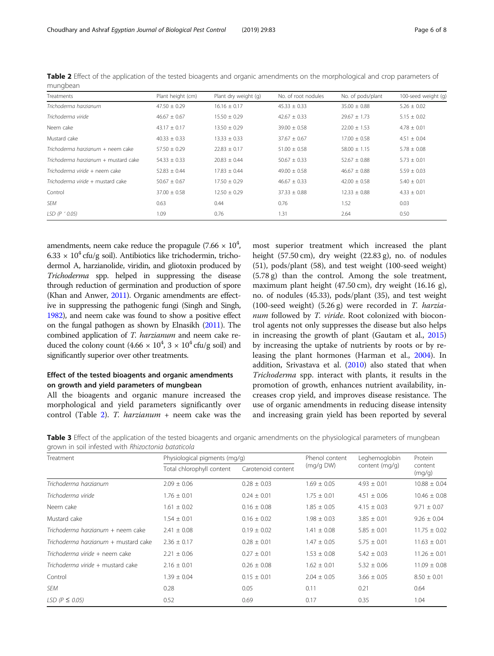| Treatments                           | Plant height (cm) | Plant dry weight (g) | No. of root nodules | No. of pods/plant | 100-seed weight (g) |
|--------------------------------------|-------------------|----------------------|---------------------|-------------------|---------------------|
| Trichoderma harzianum                | $47.50 \pm 0.29$  | $16.16 \pm 0.17$     | $45.33 \pm 0.33$    | $35.00 \pm 0.88$  | $5.26 \pm 0.02$     |
| Trichoderma viride                   | $46.67 \pm 0.67$  | $15.50 \pm 0.29$     | $42.67 \pm 0.33$    | $29.67 \pm 1.73$  | $5.15 \pm 0.02$     |
| Neem cake                            | $43.17 \pm 0.17$  | $13.50 \pm 0.29$     | $39.00 \pm 0.58$    | $22.00 \pm 1.53$  | $4.78 \pm 0.01$     |
| Mustard cake                         | $40.33 \pm 0.33$  | $13.33 \pm 0.33$     | $37.67 \pm 0.67$    | $17.00 \pm 0.58$  | $4.51 \pm 0.04$     |
| Trichoderma harzianum + neem cake    | $57.50 \pm 0.29$  | $22.83 \pm 0.17$     | $51.00 \pm 0.58$    | $58.00 \pm 1.15$  | $5.78 \pm 0.08$     |
| Trichoderma harzianum + mustard cake | $54.33 + 0.33$    | $20.83 \pm 0.44$     | $50.67 \pm 0.33$    | $52.67 \pm 0.88$  | $5.73 \pm 0.01$     |
| Trichoderma viride + neem cake       | $52.83 \pm 0.44$  | $17.83 \pm 0.44$     | $49.00 \pm 0.58$    | $46.67 \pm 0.88$  | $5.59 \pm 0.03$     |
| Trichoderma viride + mustard cake    | $50.67 \pm 0.67$  | $17.50 \pm 0.29$     | $46.67 \pm 0.33$    | $42.00 \pm 0.58$  | $5.40 \pm 0.01$     |
| Control                              | $37.00 \pm 0.58$  | $12.50 \pm 0.29$     | $37.33 \pm 0.88$    | $12.33 \pm 0.88$  | $4.33 \pm 0.01$     |
| SEM                                  | 0.63              | 0.44                 | 0.76                | 1.52              | 0.03                |
| $LSD (P \t 0.05)$                    | 1.09              | 0.76                 | 1.31                | 2.64              | 0.50                |

<span id="page-5-0"></span>Table 2 Effect of the application of the tested bioagents and organic amendments on the morphological and crop parameters of mungbean

amendments, neem cake reduce the propagule (7.66  $\times$   $10^4$ ,  $6.33 \times 10^4$  cfu/g soil). Antibiotics like trichodermin, trichodermol A, harzianolide, viridin, and gliotoxin produced by Trichoderma spp. helped in suppressing the disease through reduction of germination and production of spore (Khan and Anwer, [2011\)](#page-7-0). Organic amendments are effective in suppressing the pathogenic fungi (Singh and Singh, [1982\)](#page-7-0), and neem cake was found to show a positive effect on the fungal pathogen as shown by Elnasikh [\(2011](#page-7-0)). The combined application of T. harzianum and neem cake reduced the colony count  $(4.66 \times 10^4, 3 \times 10^4 \text{ cftu/g soil})$  and significantly superior over other treatments.

# Effect of the tested bioagents and organic amendments on growth and yield parameters of mungbean

All the bioagents and organic manure increased the morphological and yield parameters significantly over control (Table 2). T. harzianum + neem cake was the most superior treatment which increased the plant height (57.50 cm), dry weight (22.83 g), no. of nodules (51), pods/plant (58), and test weight (100-seed weight) (5.78 g) than the control. Among the sole treatment, maximum plant height (47.50 cm), dry weight (16.16 g), no. of nodules (45.33), pods/plant (35), and test weight (100-seed weight) (5.26 g) were recorded in T. harzianum followed by T. viride. Root colonized with biocontrol agents not only suppresses the disease but also helps in increasing the growth of plant (Gautam et al., [2015](#page-7-0)) by increasing the uptake of nutrients by roots or by releasing the plant hormones (Harman et al., [2004](#page-7-0)). In addition, Srivastava et al. [\(2010\)](#page-7-0) also stated that when Trichoderma spp. interact with plants, it results in the promotion of growth, enhances nutrient availability, increases crop yield, and improves disease resistance. The use of organic amendments in reducing disease intensity and increasing grain yield has been reported by several

Table 3 Effect of the application of the tested bioagents and organic amendments on the physiological parameters of mungbean grown in soil infested with Rhizoctonia bataticola

| Treatment                            | Physiological pigments (mg/g) |                    | Phenol content  | Leghemoglobin   | Protein           |
|--------------------------------------|-------------------------------|--------------------|-----------------|-----------------|-------------------|
|                                      | Total chlorophyll content     | Carotenoid content | (mg/g DW)       | content (mg/g)  | content<br>(mq/q) |
| Trichoderma harzianum                | $2.09 \pm 0.06$               | $0.28 \pm 0.03$    | $1.69 \pm 0.05$ | $4.93 \pm 0.01$ | $10.88 \pm 0.04$  |
| Trichoderma viride                   | $1.76 \pm 0.01$               | $0.24 \pm 0.01$    | $1.75 \pm 0.01$ | $4.51 \pm 0.06$ | $10.46 \pm 0.08$  |
| Neem cake                            | $1.61 \pm 0.02$               | $0.16 \pm 0.08$    | $1.85 \pm 0.05$ | $4.15 \pm 0.03$ | $9.71 \pm 0.07$   |
| Mustard cake                         | $1.54 \pm 0.01$               | $0.16 \pm 0.02$    | $1.98 \pm 0.03$ | $3.85 \pm 0.01$ | $9.26 \pm 0.04$   |
| Trichoderma harzianum + neem cake    | $2.41 \pm 0.08$               | $0.19 \pm 0.02$    | $1.41 \pm 0.08$ | $5.85 \pm 0.01$ | $11.75 \pm 0.02$  |
| Trichoderma harzianum + mustard cake | $2.36 \pm 0.17$               | $0.28 \pm 0.01$    | $1.47 \pm 0.05$ | $5.75 \pm 0.01$ | $11.63 \pm 0.01$  |
| Trichoderma viride + neem cake       | $2.21 \pm 0.06$               | $0.27 \pm 0.01$    | $1.53 \pm 0.08$ | $5.42 \pm 0.03$ | $11.26 \pm 0.01$  |
| Trichoderma viride + mustard cake    | $2.16 \pm 0.01$               | $0.26 \pm 0.08$    | $1.62 \pm 0.01$ | $5.32 \pm 0.06$ | $11.09 \pm 0.08$  |
| Control                              | $1.39 \pm 0.04$               | $0.15 \pm 0.01$    | $2.04 \pm 0.05$ | $3.66 \pm 0.05$ | $8.50 \pm 0.01$   |
| SEM                                  | 0.28                          | 0.05               | 0.11            | 0.21            | 0.64              |
| $LSD (P \leq 0.05)$                  | 0.52                          | 0.69               | 0.17            | 0.35            | 1.04              |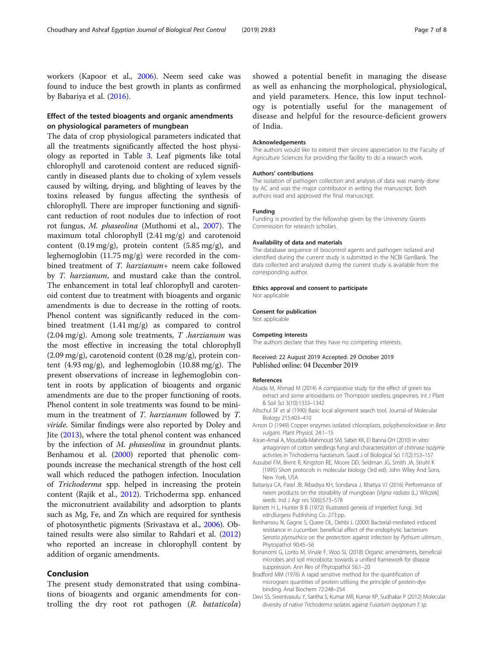<span id="page-6-0"></span>workers (Kapoor et al., [2006](#page-7-0)). Neem seed cake was found to induce the best growth in plants as confirmed by Babariya et al. (2016).

# Effect of the tested bioagents and organic amendments on physiological parameters of mungbean

The data of crop physiological parameters indicated that all the treatments significantly affected the host physiology as reported in Table [3.](#page-5-0) Leaf pigments like total chlorophyll and carotenoid content are reduced significantly in diseased plants due to choking of xylem vessels caused by wilting, drying, and blighting of leaves by the toxins released by fungus affecting the synthesis of chlorophyll. There are improper functioning and significant reduction of root nodules due to infection of root rot fungus, M. phaseolina (Muthomi et al., [2007\)](#page-7-0). The maximum total chlorophyll (2.41 mg/g) and carotenoid content  $(0.19 \text{ mg/g})$ , protein content  $(5.85 \text{ mg/g})$ , and leghemoglobin (11.75 mg/g) were recorded in the combined treatment of T. harzianum+ neem cake followed by T. harzianum, and mustard cake than the control. The enhancement in total leaf chlorophyll and carotenoid content due to treatment with bioagents and organic amendments is due to decrease in the rotting of roots. Phenol content was significantly reduced in the combined treatment (1.41 mg/g) as compared to control  $(2.04 \text{ mg/g})$ . Among sole treatments, T .harzianum was the most effective in increasing the total chlorophyll  $(2.09 \text{ mg/g})$ , carotenoid content  $(0.28 \text{ mg/g})$ , protein content  $(4.93 \text{ mg/g})$ , and leghemoglobin  $(10.88 \text{ mg/g})$ . The present observations of increase in leghemoglobin content in roots by application of bioagents and organic amendments are due to the proper functioning of roots. Phenol content in sole treatments was found to be minimum in the treatment of T. harzianum followed by T. viride. Similar findings were also reported by Doley and Jite [\(2013\)](#page-7-0), where the total phenol content was enhanced by the infection of M. phaseolina in groundnut plants. Benhamou et al. (2000) reported that phenolic compounds increase the mechanical strength of the host cell wall which reduced the pathogen infection. Inoculation of Trichoderma spp. helped in increasing the protein content (Rajik et al., [2012\)](#page-7-0). Trichoderma spp. enhanced the micronutrient availability and adsorption to plants such as Mg, Fe, and Zn which are required for synthesis of photosynthetic pigments (Srivastava et al., [2006](#page-7-0)). Obtained results were also similar to Rahdari et al. ([2012](#page-7-0)) who reported an increase in chlorophyll content by addition of organic amendments.

#### Conclusion

The present study demonstrated that using combinations of bioagents and organic amendments for controlling the dry root rot pathogen (R. bataticola) showed a potential benefit in managing the disease as well as enhancing the morphological, physiological, and yield parameters. Hence, this low input technology is potentially useful for the management of disease and helpful for the resource-deficient growers of India.

#### Acknowledgements

The authors would like to extend their sincere appreciation to the Faculty of Agriculture Sciences for providing the facility to do a research work.

#### Authors' contributions

The isolation of pathogen collection and analysis of data was mainly done by AC and was the major contributor in writing the manuscript. Both authors read and approved the final manuscript.

#### Funding

Funding is provided by the fellowship given by the University Grants Commission for research scholars.

#### Availability of data and materials

The database sequence of biocontrol agents and pathogen isolated and identified during the current study is submitted in the NCBI GenBank. The data collected and analyzed during the current study is available from the corresponding author.

#### Ethics approval and consent to participate

Not applicable

#### Consent for publication

Not applicable

#### Competing interests

The authors declare that they have no competing interests.

#### Received: 22 August 2019 Accepted: 29 October 2019 Published online: 04 December 2019

#### References

- Abada M, Ahmad M (2014) A comparative study for the effect of green tea extract and some antioxidants on Thompson seedless grapevines. Int J Plant & Soil Sci 3(10):1333–1342
- Altschul SF et al (1990) Basic local alignment search tool. Journal of Molecular Biology 215:403–410
- Arnon D (1949) Copper enzymes isolated chloroplasts, polyphenoloxidase in Beta vulgaris. Plant Physiol. 24:1–15
- Asran-Amal A, Moustafa-Mahmoud SM, Sabet KK, El Banna OH (2010) In vitro antagonism of cotton seedlings fungi and characterization of chitinase isozyme activities in Trichoderma harzianum. Saudi J of Biological Sci 17(2):153–157
- Ausubel FM, Brent R, Kingston RE, Moore DD, Seidman JG, Smith JA, Struhl K (1995) Short protocols in molecular biology (3rd ed). John Wiley And Sons, New York, USA
- Babariya CA, Patel JB, Ribadiya KH, Sondarva J, Bhatiya VJ (2016) Performance of neem products on the storability of mungbean [Vigna radiata (L.) Wilczek] seeds. Ind J Agr res 50(6):573–578
- Barnett H L, Hunter B B (1972) Illustrated genera of imperfect fungi. 3rd edn,Burgess Publishing Co. 273 pp.
- Benhamou N, Gagne S, Quere DL, Dehbi L (2000) Bacterial-mediated induced resistance in cucumber: beneficial effect of the endophytic bacterium Serratia plymuthica on the protection against infection by Pythium ultimum. Phytopathol 90:45–56
- Bonanomi G, Lorito M, Vinale F, Woo SL (2018) Organic amendments, beneficial microbes and soil microbiota: towards a unified framework for disease suppression. Ann Rev of Phytopathol 56:1–20
- Bradford MM (1976) A rapid sensitive method for the quantification of microgram quantities of protein utilising the principle of protein-dye binding. Anal Biochem 72:248–254
- Devi SS, Sreenivasulu Y, Saritha S, Kumar MR, Kumar KP, Sudhakar P (2012) Molecular diversity of native Trichoderma isolates against Fusarium oxysporum f. sp.